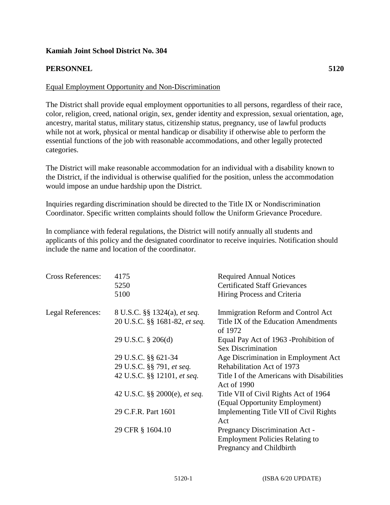## **Kamiah Joint School District No. 304**

## **PERSONNEL 5120**

## Equal Employment Opportunity and Non-Discrimination

The District shall provide equal employment opportunities to all persons, regardless of their race, color, religion, creed, national origin, sex, gender identity and expression, sexual orientation, age, ancestry, marital status, military status, citizenship status, pregnancy, use of lawful products while not at work, physical or mental handicap or disability if otherwise able to perform the essential functions of the job with reasonable accommodations, and other legally protected categories.

The District will make reasonable accommodation for an individual with a disability known to the District, if the individual is otherwise qualified for the position, unless the accommodation would impose an undue hardship upon the District.

Inquiries regarding discrimination should be directed to the Title IX or Nondiscrimination Coordinator. Specific written complaints should follow the Uniform Grievance Procedure.

In compliance with federal regulations, the District will notify annually all students and applicants of this policy and the designated coordinator to receive inquiries. Notification should include the name and location of the coordinator.

| <b>Cross References:</b> | 4175<br>5250<br>5100                                          | <b>Required Annual Notices</b><br><b>Certificated Staff Grievances</b><br>Hiring Process and Criteria |
|--------------------------|---------------------------------------------------------------|-------------------------------------------------------------------------------------------------------|
| Legal References:        | 8 U.S.C. §§ 1324(a), et seq.<br>20 U.S.C. §§ 1681-82, et seq. | Immigration Reform and Control Act<br>Title IX of the Education Amendments<br>of 1972                 |
|                          | 29 U.S.C. § 206(d)                                            | Equal Pay Act of 1963 - Prohibition of<br><b>Sex Discrimination</b>                                   |
|                          | 29 U.S.C. §§ 621-34                                           | Age Discrimination in Employment Act                                                                  |
|                          | 29 U.S.C. §§ 791, et seq.                                     | Rehabilitation Act of 1973                                                                            |
|                          | 42 U.S.C. §§ 12101, et seq.                                   | Title I of the Americans with Disabilities<br>Act of 1990                                             |
|                          | 42 U.S.C. §§ 2000(e), et seq.                                 | Title VII of Civil Rights Act of 1964                                                                 |
|                          |                                                               | (Equal Opportunity Employment)                                                                        |
|                          | 29 C.F.R. Part 1601                                           | Implementing Title VII of Civil Rights                                                                |
|                          |                                                               | Act                                                                                                   |
|                          | 29 CFR § 1604.10                                              | Pregnancy Discrimination Act -                                                                        |
|                          |                                                               | <b>Employment Policies Relating to</b>                                                                |
|                          |                                                               | Pregnancy and Childbirth                                                                              |